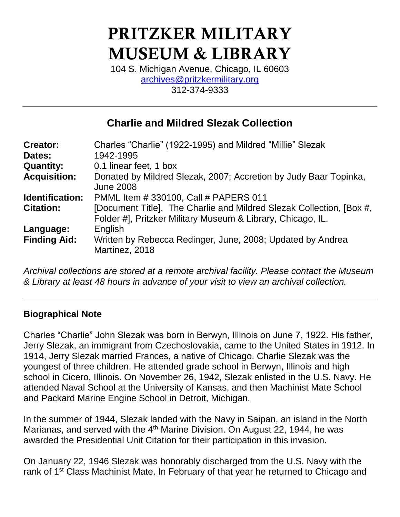# PRITZKER MILITARY MUSEUM & LIBRARY

104 S. Michigan Avenue, Chicago, IL 60603 [archives@pritzkermilitary.org](mailto:archives@pritzkermilitary.org) 312-374-9333

# **Charlie and Mildred Slezak Collection**

| <b>Creator:</b>     | Charles "Charlie" (1922-1995) and Mildred "Millie" Slezak                                                                           |
|---------------------|-------------------------------------------------------------------------------------------------------------------------------------|
| Dates:              | 1942-1995                                                                                                                           |
| <b>Quantity:</b>    | 0.1 linear feet, 1 box                                                                                                              |
| <b>Acquisition:</b> | Donated by Mildred Slezak, 2007; Accretion by Judy Baar Topinka,<br><b>June 2008</b>                                                |
| Identification:     | PMML Item # 330100, Call # PAPERS 011                                                                                               |
| <b>Citation:</b>    | [Document Title]. The Charlie and Mildred Slezak Collection, [Box #,<br>Folder #], Pritzker Military Museum & Library, Chicago, IL. |
| Language:           | English                                                                                                                             |
| <b>Finding Aid:</b> | Written by Rebecca Redinger, June, 2008; Updated by Andrea<br>Martinez, 2018                                                        |

*Archival collections are stored at a remote archival facility. Please contact the Museum & Library at least 48 hours in advance of your visit to view an archival collection.*

# **Biographical Note**

Charles "Charlie" John Slezak was born in Berwyn, Illinois on June 7, 1922. His father, Jerry Slezak, an immigrant from Czechoslovakia, came to the United States in 1912. In 1914, Jerry Slezak married Frances, a native of Chicago. Charlie Slezak was the youngest of three children. He attended grade school in Berwyn, Illinois and high school in Cicero, Illinois. On November 26, 1942, Slezak enlisted in the U.S. Navy. He attended Naval School at the University of Kansas, and then Machinist Mate School and Packard Marine Engine School in Detroit, Michigan.

In the summer of 1944, Slezak landed with the Navy in Saipan, an island in the North Marianas, and served with the 4<sup>th</sup> Marine Division. On August 22, 1944, he was awarded the Presidential Unit Citation for their participation in this invasion.

On January 22, 1946 Slezak was honorably discharged from the U.S. Navy with the rank of 1<sup>st</sup> Class Machinist Mate. In February of that year he returned to Chicago and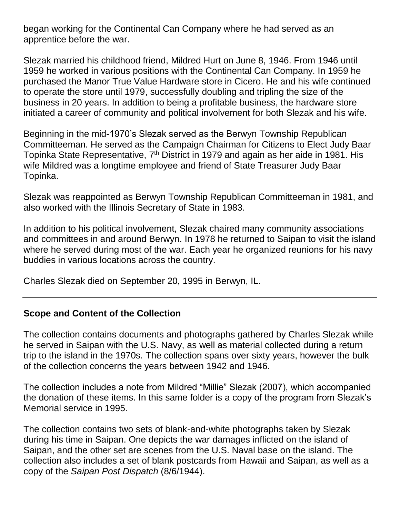began working for the Continental Can Company where he had served as an apprentice before the war.

Slezak married his childhood friend, Mildred Hurt on June 8, 1946. From 1946 until 1959 he worked in various positions with the Continental Can Company. In 1959 he purchased the Manor True Value Hardware store in Cicero. He and his wife continued to operate the store until 1979, successfully doubling and tripling the size of the business in 20 years. In addition to being a profitable business, the hardware store initiated a career of community and political involvement for both Slezak and his wife.

Beginning in the mid-1970's Slezak served as the Berwyn Township Republican Committeeman. He served as the Campaign Chairman for Citizens to Elect Judy Baar Topinka State Representative,  $7<sup>th</sup>$  District in 1979 and again as her aide in 1981. His wife Mildred was a longtime employee and friend of State Treasurer Judy Baar Topinka.

Slezak was reappointed as Berwyn Township Republican Committeeman in 1981, and also worked with the Illinois Secretary of State in 1983.

In addition to his political involvement, Slezak chaired many community associations and committees in and around Berwyn. In 1978 he returned to Saipan to visit the island where he served during most of the war. Each year he organized reunions for his navy buddies in various locations across the country.

Charles Slezak died on September 20, 1995 in Berwyn, IL.

# **Scope and Content of the Collection**

The collection contains documents and photographs gathered by Charles Slezak while he served in Saipan with the U.S. Navy, as well as material collected during a return trip to the island in the 1970s. The collection spans over sixty years, however the bulk of the collection concerns the years between 1942 and 1946.

The collection includes a note from Mildred "Millie" Slezak (2007), which accompanied the donation of these items. In this same folder is a copy of the program from Slezak's Memorial service in 1995.

The collection contains two sets of blank-and-white photographs taken by Slezak during his time in Saipan. One depicts the war damages inflicted on the island of Saipan, and the other set are scenes from the U.S. Naval base on the island. The collection also includes a set of blank postcards from Hawaii and Saipan, as well as a copy of the *Saipan Post Dispatch* (8/6/1944).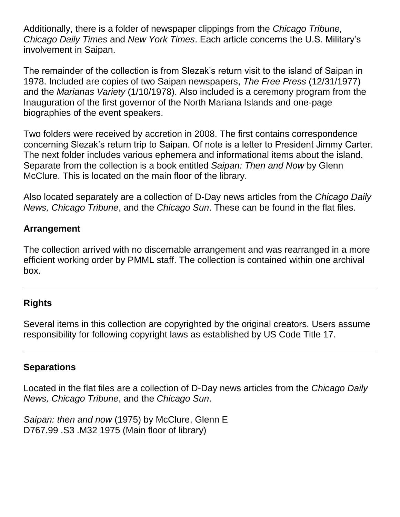Additionally, there is a folder of newspaper clippings from the *Chicago Tribune, Chicago Daily Times* and *New York Times*. Each article concerns the U.S. Military's involvement in Saipan.

The remainder of the collection is from Slezak's return visit to the island of Saipan in 1978. Included are copies of two Saipan newspapers, *The Free Press* (12/31/1977) and the *Marianas Variety* (1/10/1978). Also included is a ceremony program from the Inauguration of the first governor of the North Mariana Islands and one-page biographies of the event speakers.

Two folders were received by accretion in 2008. The first contains correspondence concerning Slezak's return trip to Saipan. Of note is a letter to President Jimmy Carter. The next folder includes various ephemera and informational items about the island. Separate from the collection is a book entitled *Saipan: Then and Now* by Glenn McClure. This is located on the main floor of the library.

Also located separately are a collection of D-Day news articles from the *Chicago Daily News, Chicago Tribune*, and the *Chicago Sun*. These can be found in the flat files.

#### **Arrangement**

The collection arrived with no discernable arrangement and was rearranged in a more efficient working order by PMML staff. The collection is contained within one archival box.

#### **Rights**

Several items in this collection are copyrighted by the original creators. Users assume responsibility for following copyright laws as established by US Code Title 17.

#### **Separations**

Located in the flat files are a collection of D-Day news articles from the *Chicago Daily News, Chicago Tribune*, and the *Chicago Sun*.

*Saipan: then and now* (1975) by McClure, Glenn E D767.99 .S3 .M32 1975 (Main floor of library)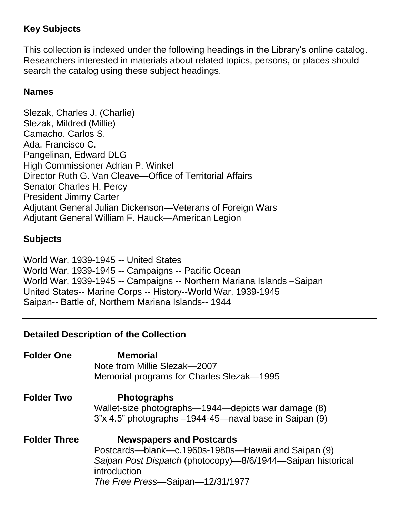# **Key Subjects**

This collection is indexed under the following headings in the Library's online catalog. Researchers interested in materials about related topics, persons, or places should search the catalog using these subject headings.

### **Names**

Slezak, Charles J. (Charlie) Slezak, Mildred (Millie) Camacho, Carlos S. Ada, Francisco C. Pangelinan, Edward DLG High Commissioner Adrian P. Winkel Director Ruth G. Van Cleave—Office of Territorial Affairs Senator Charles H. Percy President Jimmy Carter Adjutant General Julian Dickenson—Veterans of Foreign Wars Adjutant General William F. Hauck—American Legion

# **Subjects**

World War, 1939-1945 -- United States World War, 1939-1945 -- Campaigns -- Pacific Ocean World War, 1939-1945 -- Campaigns -- Northern Mariana Islands –Saipan United States-- Marine Corps -- History--World War, 1939-1945 Saipan-- Battle of, Northern Mariana Islands-- 1944

# **Detailed Description of the Collection**

| <b>Folder One</b>   | <b>Memorial</b><br>Note from Millie Slezak-2007<br>Memorial programs for Charles Slezak-1995                                                                                                              |
|---------------------|-----------------------------------------------------------------------------------------------------------------------------------------------------------------------------------------------------------|
| <b>Folder Two</b>   | <b>Photographs</b><br>Wallet-size photographs—1944—depicts war damage (8)<br>3"x 4.5" photographs -1944-45—naval base in Saipan (9)                                                                       |
| <b>Folder Three</b> | <b>Newspapers and Postcards</b><br>Postcards—blank—c.1960s-1980s—Hawaii and Saipan (9)<br>Saipan Post Dispatch (photocopy)—8/6/1944—Saipan historical<br>introduction<br>The Free Press-Saipan-12/31/1977 |